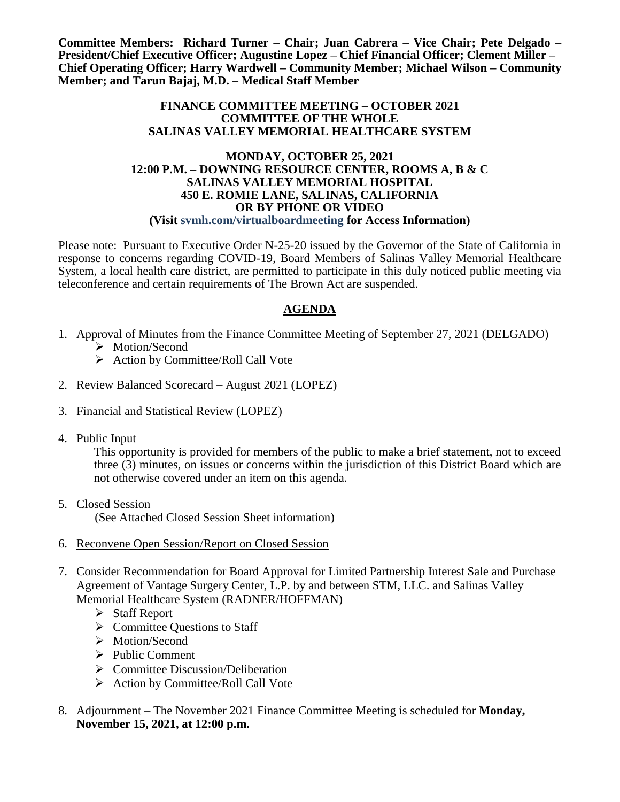**Committee Members: Richard Turner – Chair; Juan Cabrera – Vice Chair; Pete Delgado – President/Chief Executive Officer; Augustine Lopez – Chief Financial Officer; Clement Miller – Chief Operating Officer; Harry Wardwell – Community Member; Michael Wilson – Community Member; and Tarun Bajaj, M.D. – Medical Staff Member**

#### **FINANCE COMMITTEE MEETING – OCTOBER 2021 COMMITTEE OF THE WHOLE SALINAS VALLEY MEMORIAL HEALTHCARE SYSTEM**

#### **MONDAY, OCTOBER 25, 2021 12:00 P.M. – DOWNING RESOURCE CENTER, ROOMS A, B & C SALINAS VALLEY MEMORIAL HOSPITAL 450 E. ROMIE LANE, SALINAS, CALIFORNIA OR BY PHONE OR VIDEO (Visit svmh.com/virtualboardmeeting for Access Information)**

Please note: Pursuant to Executive Order N-25-20 issued by the Governor of the State of California in response to concerns regarding COVID-19, Board Members of Salinas Valley Memorial Healthcare System, a local health care district, are permitted to participate in this duly noticed public meeting via teleconference and certain requirements of The Brown Act are suspended.

# **AGENDA**

- 1. Approval of Minutes from the Finance Committee Meeting of September 27, 2021 (DELGADO) > Motion/Second
	- $\triangleright$  Action by Committee/Roll Call Vote
- 2. Review Balanced Scorecard August 2021 (LOPEZ)
- 3. Financial and Statistical Review (LOPEZ)
- 4. Public Input

This opportunity is provided for members of the public to make a brief statement, not to exceed three (3) minutes, on issues or concerns within the jurisdiction of this District Board which are not otherwise covered under an item on this agenda.

5. Closed Session

(See Attached Closed Session Sheet information)

- 6. Reconvene Open Session/Report on Closed Session
- 7. Consider Recommendation for Board Approval for Limited Partnership Interest Sale and Purchase Agreement of Vantage Surgery Center, L.P. by and between STM, LLC. and Salinas Valley Memorial Healthcare System (RADNER/HOFFMAN)
	- Staff Report
	- $\triangleright$  Committee Questions to Staff
	- > Motion/Second
	- $\triangleright$  Public Comment
	- $\triangleright$  Committee Discussion/Deliberation
	- $\triangleright$  Action by Committee/Roll Call Vote
- 8. Adjournment The November 2021 Finance Committee Meeting is scheduled for **Monday, November 15, 2021, at 12:00 p.m.**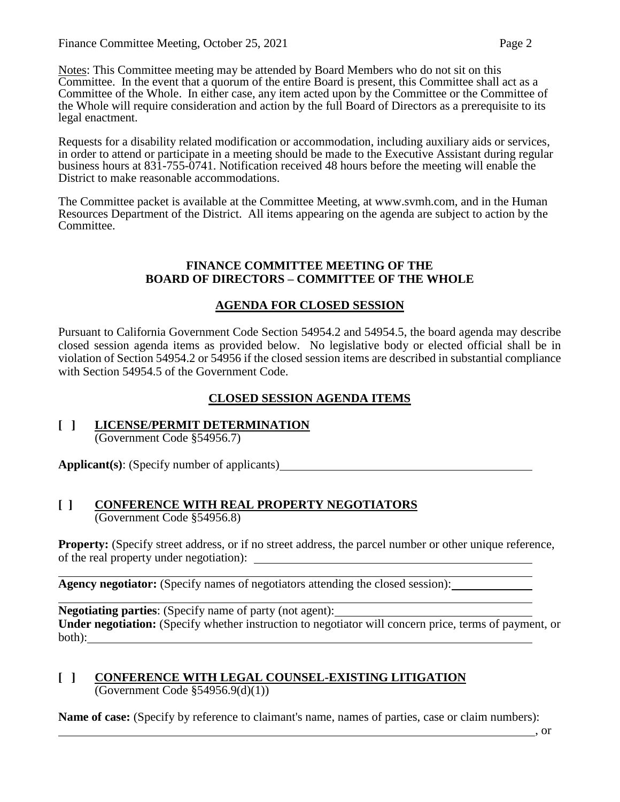Notes: This Committee meeting may be attended by Board Members who do not sit on this Committee. In the event that a quorum of the entire Board is present, this Committee shall act as a Committee of the Whole. In either case, any item acted upon by the Committee or the Committee of the Whole will require consideration and action by the full Board of Directors as a prerequisite to its legal enactment.

Requests for a disability related modification or accommodation, including auxiliary aids or services, in order to attend or participate in a meeting should be made to the Executive Assistant during regular business hours at 831-755-0741. Notification received 48 hours before the meeting will enable the District to make reasonable accommodations.

The Committee packet is available at the Committee Meeting, at www.svmh.com, and in the Human Resources Department of the District. All items appearing on the agenda are subject to action by the Committee.

#### **FINANCE COMMITTEE MEETING OF THE BOARD OF DIRECTORS – COMMITTEE OF THE WHOLE**

# **AGENDA FOR CLOSED SESSION**

Pursuant to California Government Code Section 54954.2 and 54954.5, the board agenda may describe closed session agenda items as provided below. No legislative body or elected official shall be in violation of Section 54954.2 or 54956 if the closed session items are described in substantial compliance with Section 54954.5 of the Government Code.

# **CLOSED SESSION AGENDA ITEMS**

**[ ] LICENSE/PERMIT DETERMINATION** (Government Code §54956.7)

**Applicant(s)**: (Specify number of applicants)

# **[ ] CONFERENCE WITH REAL PROPERTY NEGOTIATORS**

(Government Code §54956.8)

**Property:** (Specify street address, or if no street address, the parcel number or other unique reference, of the real property under negotiation):

**Agency negotiator:** (Specify names of negotiators attending the closed session):

**Negotiating parties**: (Specify name of party (not agent): **Under negotiation:** (Specify whether instruction to negotiator will concern price, terms of payment, or both):

## **[ ] CONFERENCE WITH LEGAL COUNSEL-EXISTING LITIGATION**  $\overline{(Government Code \$  54956.9(d)(1))}

**Name of case:** (Specify by reference to claimant's name, names of parties, case or claim numbers):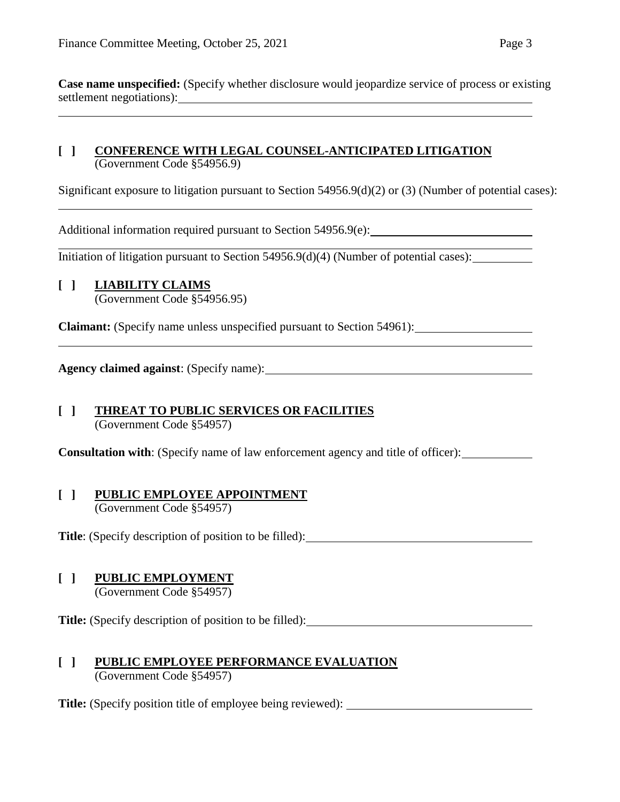#### **[ ] CONFERENCE WITH LEGAL COUNSEL-ANTICIPATED LITIGATION** (Government Code §54956.9)

Significant exposure to litigation pursuant to Section 54956.9(d)(2) or (3) (Number of potential cases):

Additional information required pursuant to Section 54956.9(e):

Initiation of litigation pursuant to Section 54956.9(d)(4) (Number of potential cases):

## **[ ] LIABILITY CLAIMS**

(Government Code §54956.95)

**Claimant:** (Specify name unless unspecified pursuant to Section 54961):

**Agency claimed against**: (Specify name):

## **[ ] THREAT TO PUBLIC SERVICES OR FACILITIES** (Government Code §54957)

**Consultation with**: (Specify name of law enforcement agency and title of officer):

#### **[ ] PUBLIC EMPLOYEE APPOINTMENT** (Government Code §54957)

Title: (Specify description of position to be filled):

# **[ ] PUBLIC EMPLOYMENT**

(Government Code §54957)

**Title:** (Specify description of position to be filled):

#### **[ ] PUBLIC EMPLOYEE PERFORMANCE EVALUATION** (Government Code §54957)

**Title:** (Specify position title of employee being reviewed):